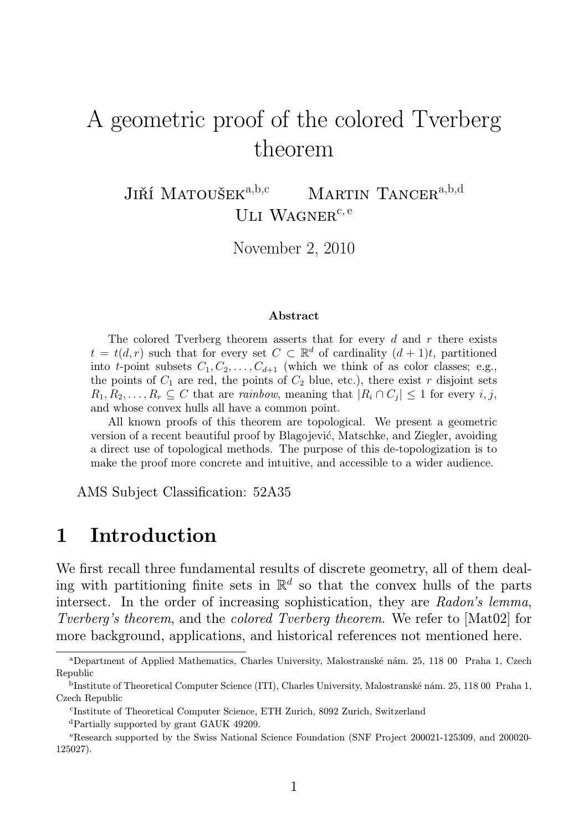# A geometric proof of the colored Tverberg theorem

JIŘÍ MATOUŠEK<sup>a,b,c</sup> MARTIN TANCER<sup>a,b,d</sup> ULI WAGNER $c, e$ 

November 2, 2010

#### Abstract

The colored Tverberg theorem asserts that for every  $d$  and  $r$  there exists  $t = t(d, r)$  such that for every set  $C \subset \mathbb{R}^d$  of cardinality  $(d + 1)t$ , partitioned into t-point subsets  $C_1, C_2, \ldots, C_{d+1}$  (which we think of as color classes; e.g., the points of  $C_1$  are red, the points of  $C_2$  blue, etc.), there exist r disjoint sets  $R_1, R_2, \ldots, R_r \subseteq C$  that are *rainbow*, meaning that  $|R_i \cap C_j| \leq 1$  for every  $i, j$ , and whose convex hulls all have a common point.

All known proofs of this theorem are topological. We present a geometric version of a recent beautiful proof by Blagojević, Matschke, and Ziegler, avoiding a direct use of topological methods. The purpose of this de-topologization is to make the proof more concrete and intuitive, and accessible to a wider audience.

AMS Subject Classification: 52A35

## 1 Introduction

We first recall three fundamental results of discrete geometry, all of them dealing with partitioning finite sets in  $\mathbb{R}^d$  so that the convex hulls of the parts intersect. In the order of increasing sophistication, they are Radon's lemma, Tverberg's theorem, and the colored Tverberg theorem. We refer to [Mat02] for more background, applications, and historical references not mentioned here.

<sup>d</sup>Partially supported by grant GAUK 49209.

<sup>a</sup>Department of Applied Mathematics, Charles University, Malostranské nám. 25, 118 00 Praha 1, Czech Republic

b Institute of Theoretical Computer Science (ITI), Charles University, Malostranské nám. 25, 118 00 Praha 1, Czech Republic

c Institute of Theoretical Computer Science, ETH Zurich, 8092 Zurich, Switzerland

<sup>e</sup>Research supported by the Swiss National Science Foundation (SNF Project 200021-125309, and 200020- 125027).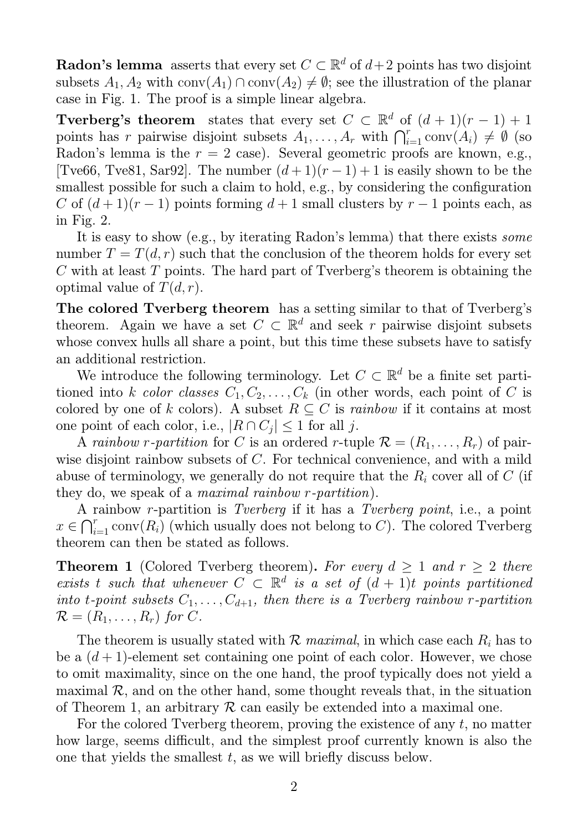**Radon's lemma** asserts that every set  $C \subset \mathbb{R}^d$  of  $d+2$  points has two disjoint subsets  $A_1, A_2$  with  $conv(A_1) \cap conv(A_2) \neq \emptyset$ ; see the illustration of the planar case in Fig. 1. The proof is a simple linear algebra.

**Tverberg's theorem** states that every set  $C \subset \mathbb{R}^d$  of  $(d+1)(r-1)+1$ points has r pairwise disjoint subsets  $A_1, \ldots, A_r$  with  $\bigcap_{i=1}^r \text{conv}(A_i) \neq \emptyset$  (so Radon's lemma is the  $r = 2$  case). Several geometric proofs are known, e.g., [Tve66, Tve81, Sar92]. The number  $(d+1)(r-1)+1$  is easily shown to be the smallest possible for such a claim to hold, e.g., by considering the configuration C of  $(d+1)(r-1)$  points forming  $d+1$  small clusters by  $r-1$  points each, as in Fig. 2.

It is easy to show (e.g., by iterating Radon's lemma) that there exists some number  $T = T(d, r)$  such that the conclusion of the theorem holds for every set C with at least T points. The hard part of Tverberg's theorem is obtaining the optimal value of  $T(d, r)$ .

The colored Tverberg theorem has a setting similar to that of Tverberg's theorem. Again we have a set  $C \subset \mathbb{R}^d$  and seek r pairwise disjoint subsets whose convex hulls all share a point, but this time these subsets have to satisfy an additional restriction.

We introduce the following terminology. Let  $C \subset \mathbb{R}^d$  be a finite set partitioned into k color classes  $C_1, C_2, \ldots, C_k$  (in other words, each point of C is colored by one of k colors). A subset  $R \subseteq C$  is rainbow if it contains at most one point of each color, i.e.,  $|R \cap C_j| \leq 1$  for all j.

A rainbow r-partition for C is an ordered r-tuple  $\mathcal{R} = (R_1, \ldots, R_r)$  of pairwise disjoint rainbow subsets of C. For technical convenience, and with a mild abuse of terminology, we generally do not require that the  $R_i$  cover all of C (if they do, we speak of a maximal rainbow r-partition).

A rainbow r-partition is Tverberg if it has a Tverberg point, i.e., a point  $x \in \bigcap_{i=1}^r \text{conv}(R_i)$  (which usually does not belong to C). The colored Tverberg theorem can then be stated as follows.

**Theorem 1** (Colored Tverberg theorem). For every  $d \geq 1$  and  $r \geq 2$  there exists t such that whenever  $C \subset \mathbb{R}^d$  is a set of  $(d + 1)t$  points partitioned into t-point subsets  $C_1, \ldots, C_{d+1}$ , then there is a Tverberg rainbow r-partition  $\mathcal{R} = (R_1, \ldots, R_r)$  for C.

The theorem is usually stated with  $\mathcal R$  maximal, in which case each  $R_i$  has to be a  $(d+1)$ -element set containing one point of each color. However, we chose to omit maximality, since on the one hand, the proof typically does not yield a maximal  $\mathcal{R}$ , and on the other hand, some thought reveals that, in the situation of Theorem 1, an arbitrary  $\mathcal R$  can easily be extended into a maximal one.

For the colored Tverberg theorem, proving the existence of any  $t$ , no matter how large, seems difficult, and the simplest proof currently known is also the one that yields the smallest  $t$ , as we will briefly discuss below.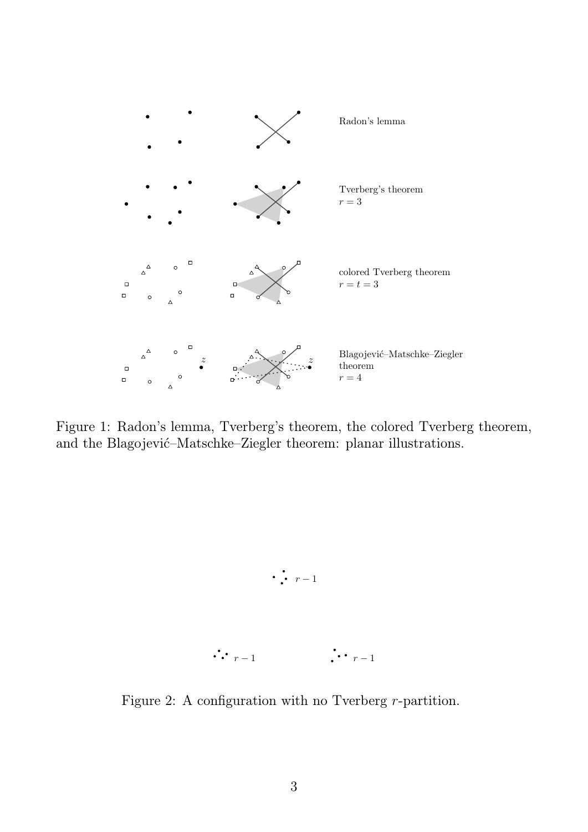

Figure 1: Radon's lemma, Tverberg's theorem, the colored Tverberg theorem, and the Blagojević–Matschke–Ziegler theorem: planar illustrations.



Figure 2: A configuration with no Tverberg *r*-partition.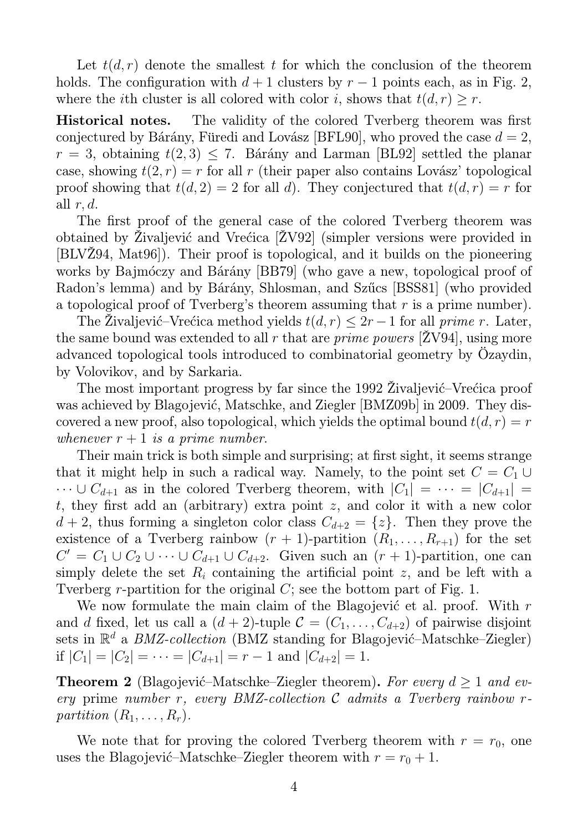Let  $t(d, r)$  denote the smallest t for which the conclusion of the theorem holds. The configuration with  $d+1$  clusters by  $r-1$  points each, as in Fig. 2, where the *i*th cluster is all colored with color *i*, shows that  $t(d, r) \geq r$ .

Historical notes. The validity of the colored Tverberg theorem was first conjectured by Bárány, Füredi and Lovász [BFL90], who proved the case  $d = 2$ ,  $r = 3$ , obtaining  $t(2,3) \leq 7$ . Bárány and Larman [BL92] settled the planar case, showing  $t(2, r) = r$  for all r (their paper also contains Lovász' topological proof showing that  $t(d, 2) = 2$  for all d). They conjectured that  $t(d, r) = r$  for all  $r, d$ .

The first proof of the general case of the colored Tverberg theorem was obtained by Živaljević and Vrećica [ZV92] (simpler versions were provided in [BLVŽ94, Mat96]). Their proof is topological, and it builds on the pioneering works by Bajmóczy and Bárány [BB79] (who gave a new, topological proof of Radon's lemma) and by Bárány, Shlosman, and Szűcs [BSS81] (who provided a topological proof of Tverberg's theorem assuming that r is a prime number).

The Živaljević–Vrećica method yields  $t(d, r) \leq 2r - 1$  for all prime r. Later, the same bound was extended to all r that are *prime powers* [ $ZV94$ ], using more advanced topological tools introduced to combinatorial geometry by Özaydin, by Volovikov, and by Sarkaria.

The most important progress by far since the 1992 Živaljević–Vrećica proof was achieved by Blagojević, Matschke, and Ziegler [BMZ09b] in 2009. They discovered a new proof, also topological, which yields the optimal bound  $t(d, r) = r$ whenever  $r + 1$  is a prime number.

Their main trick is both simple and surprising; at first sight, it seems strange that it might help in such a radical way. Namely, to the point set  $C = C_1 \cup$  $\cdots \cup C_{d+1}$  as in the colored Tverberg theorem, with  $|C_1| = \cdots = |C_{d+1}| =$ t, they first add an (arbitrary) extra point z, and color it with a new color  $d + 2$ , thus forming a singleton color class  $C_{d+2} = \{z\}$ . Then they prove the existence of a Tverberg rainbow  $(r + 1)$ -partition  $(R_1, \ldots, R_{r+1})$  for the set  $C' = C_1 \cup C_2 \cup \cdots \cup C_{d+1} \cup C_{d+2}$ . Given such an  $(r + 1)$ -partition, one can simply delete the set  $R_i$  containing the artificial point z, and be left with a Tverberg r-partition for the original  $C$ ; see the bottom part of Fig. 1.

We now formulate the main claim of the Blagojević et al. proof. With  $r$ and d fixed, let us call a  $(d+2)$ -tuple  $C = (C_1, \ldots, C_{d+2})$  of pairwise disjoint sets in  $\mathbb{R}^d$  a *BMZ-collection* (BMZ standing for Blagojević–Matschke–Ziegler) if  $|C_1| = |C_2| = \cdots = |C_{d+1}| = r - 1$  and  $|C_{d+2}| = 1$ .

**Theorem 2** (Blagojević–Matschke–Ziegler theorem). For every  $d \geq 1$  and every prime number r, every BMZ-collection  $\mathcal C$  admits a Tverberg rainbow rpartition  $(R_1, \ldots, R_r)$ .

We note that for proving the colored Tverberg theorem with  $r = r_0$ , one uses the Blagojević–Matschke–Ziegler theorem with  $r = r_0 + 1$ .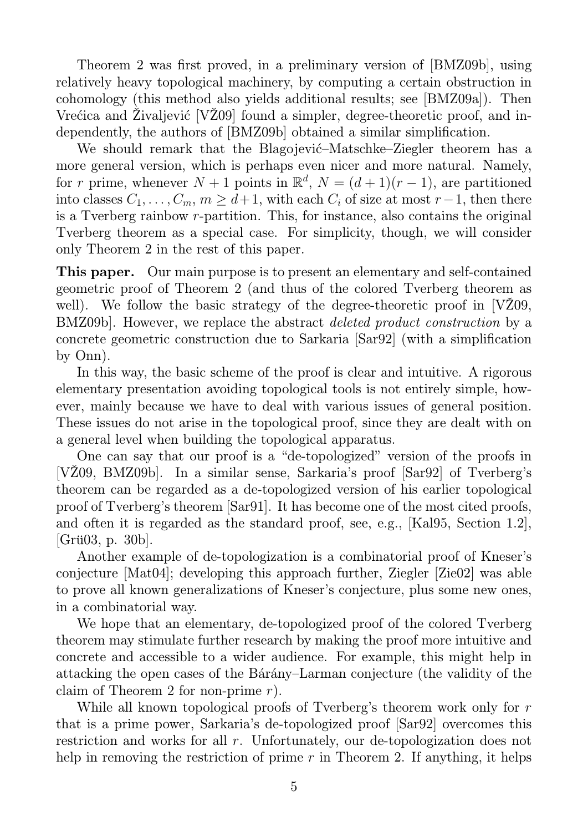Theorem 2 was first proved, in a preliminary version of [BMZ09b], using relatively heavy topological machinery, by computing a certain obstruction in cohomology (this method also yields additional results; see [BMZ09a]). Then Vre $\acute{c}$ ica and Živaljević [VŽ09] found a simpler, degree-theoretic proof, and independently, the authors of [BMZ09b] obtained a similar simplification.

We should remark that the Blagojević–Matschke–Ziegler theorem has a more general version, which is perhaps even nicer and more natural. Namely, for r prime, whenever  $N + 1$  points in  $\mathbb{R}^d$ ,  $N = (d+1)(r-1)$ , are partitioned into classes  $C_1, \ldots, C_m, m \geq d+1$ , with each  $C_i$  of size at most  $r-1$ , then there is a Tverberg rainbow r-partition. This, for instance, also contains the original Tverberg theorem as a special case. For simplicity, though, we will consider only Theorem 2 in the rest of this paper.

This paper. Our main purpose is to present an elementary and self-contained geometric proof of Theorem 2 (and thus of the colored Tverberg theorem as well). We follow the basic strategy of the degree-theoretic proof in [VZ09, BMZ09b]. However, we replace the abstract deleted product construction by a concrete geometric construction due to Sarkaria [Sar92] (with a simplification by Onn).

In this way, the basic scheme of the proof is clear and intuitive. A rigorous elementary presentation avoiding topological tools is not entirely simple, however, mainly because we have to deal with various issues of general position. These issues do not arise in the topological proof, since they are dealt with on a general level when building the topological apparatus.

One can say that our proof is a "de-topologized" version of the proofs in [VŽ09, BMZ09b]. In a similar sense, Sarkaria's proof [Sar92] of Tverberg's theorem can be regarded as a de-topologized version of his earlier topological proof of Tverberg's theorem [Sar91]. It has become one of the most cited proofs, and often it is regarded as the standard proof, see, e.g., [Kal95, Section 1.2], [Grü03, p. 30b].

Another example of de-topologization is a combinatorial proof of Kneser's conjecture [Mat04]; developing this approach further, Ziegler [Zie02] was able to prove all known generalizations of Kneser's conjecture, plus some new ones, in a combinatorial way.

We hope that an elementary, de-topologized proof of the colored Tverberg theorem may stimulate further research by making the proof more intuitive and concrete and accessible to a wider audience. For example, this might help in attacking the open cases of the Bárány–Larman conjecture (the validity of the claim of Theorem 2 for non-prime  $r$ ).

While all known topological proofs of Tverberg's theorem work only for r that is a prime power, Sarkaria's de-topologized proof [Sar92] overcomes this restriction and works for all r. Unfortunately, our de-topologization does not help in removing the restriction of prime  $r$  in Theorem 2. If anything, it helps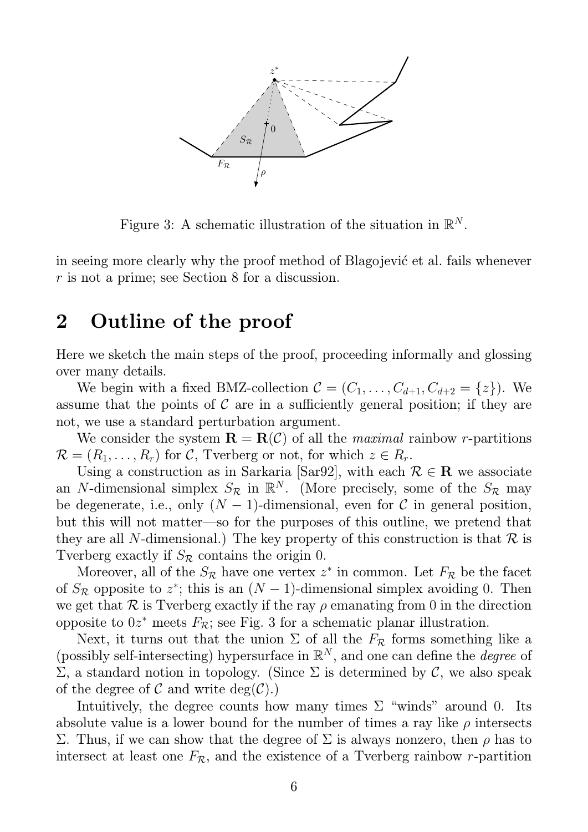

Figure 3: A schematic illustration of the situation in  $\mathbb{R}^N$ .

in seeing more clearly why the proof method of Blagojević et al. fails whenever r is not a prime; see Section 8 for a discussion.

## 2 Outline of the proof

Here we sketch the main steps of the proof, proceeding informally and glossing over many details.

We begin with a fixed BMZ-collection  $\mathcal{C} = (C_1, \ldots, C_{d+1}, C_{d+2} = \{z\})$ . We assume that the points of  $\mathcal C$  are in a sufficiently general position; if they are not, we use a standard perturbation argument.

We consider the system  $\mathbf{R} = \mathbf{R}(\mathcal{C})$  of all the *maximal* rainbow *r*-partitions  $\mathcal{R} = (R_1, \ldots, R_r)$  for C, Tverberg or not, for which  $z \in R_r$ .

Using a construction as in Sarkaria [Sar92], with each  $\mathcal{R} \in \mathbb{R}$  we associate an N-dimensional simplex  $S_{\mathcal{R}}$  in  $\mathbb{R}^N$ . (More precisely, some of the  $S_{\mathcal{R}}$  may be degenerate, i.e., only  $(N-1)$ -dimensional, even for C in general position, but this will not matter—so for the purposes of this outline, we pretend that they are all N-dimensional.) The key property of this construction is that  $\mathcal R$  is Tverberg exactly if  $S_{\mathcal{R}}$  contains the origin 0.

Moreover, all of the  $S_{\mathcal{R}}$  have one vertex  $z^*$  in common. Let  $F_{\mathcal{R}}$  be the facet of  $S_{\mathcal{R}}$  opposite to  $z^*$ ; this is an  $(N-1)$ -dimensional simplex avoiding 0. Then we get that R is Tverberg exactly if the ray  $\rho$  emanating from 0 in the direction opposite to  $0z^*$  meets  $F_{\mathcal{R}}$ ; see Fig. 3 for a schematic planar illustration.

Next, it turns out that the union  $\Sigma$  of all the  $F_{\mathcal{R}}$  forms something like a (possibly self-intersecting) hypersurface in  $\mathbb{R}^N$ , and one can define the *degree* of Σ, a standard notion in topology. (Since Σ is determined by C, we also speak of the degree of C and write  $deg(\mathcal{C})$ .

Intuitively, the degree counts how many times  $\Sigma$  "winds" around 0. Its absolute value is a lower bound for the number of times a ray like  $\rho$  intersects Σ. Thus, if we can show that the degree of  $\Sigma$  is always nonzero, then  $ρ$  has to intersect at least one  $F_{\mathcal{R}}$ , and the existence of a Tverberg rainbow r-partition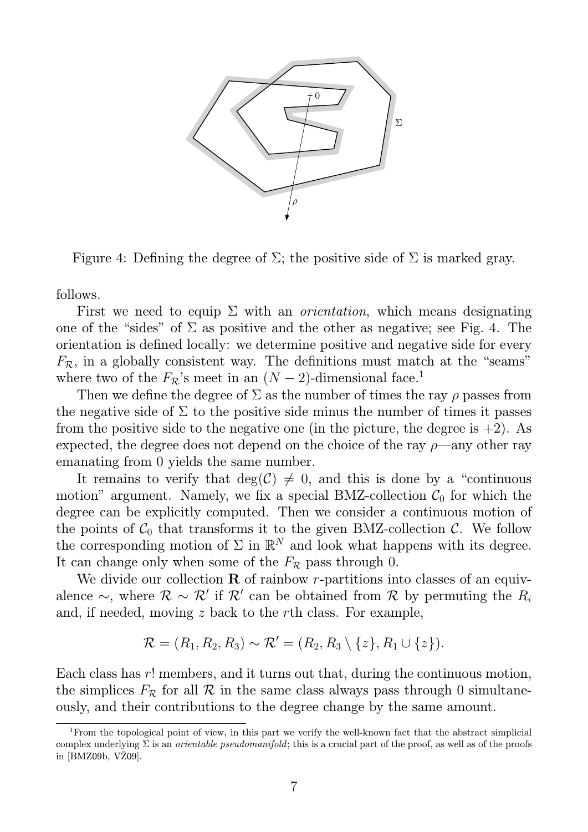

Figure 4: Defining the degree of  $\Sigma$ ; the positive side of  $\Sigma$  is marked gray.

follows.

First we need to equip  $\Sigma$  with an *orientation*, which means designating one of the "sides" of  $\Sigma$  as positive and the other as negative; see Fig. 4. The orientation is defined locally: we determine positive and negative side for every  $F_{\mathcal{R}}$ , in a globally consistent way. The definitions must match at the "seams" where two of the  $F_{\mathcal{R}}$ 's meet in an  $(N-2)$ -dimensional face.<sup>1</sup>

Then we define the degree of  $\Sigma$  as the number of times the ray  $\rho$  passes from the negative side of  $\Sigma$  to the positive side minus the number of times it passes from the positive side to the negative one (in the picture, the degree is  $+2$ ). As expected, the degree does not depend on the choice of the ray  $\rho$ —any other ray emanating from 0 yields the same number.

It remains to verify that  $deg(C) \neq 0$ , and this is done by a "continuous" motion" argument. Namely, we fix a special BMZ-collection  $C_0$  for which the degree can be explicitly computed. Then we consider a continuous motion of the points of  $C_0$  that transforms it to the given BMZ-collection C. We follow the corresponding motion of  $\Sigma$  in  $\mathbb{R}^N$  and look what happens with its degree. It can change only when some of the  $F_R$  pass through 0.

We divide our collection  $\bf{R}$  of rainbow r-partitions into classes of an equivalence  $\sim$ , where  $\mathcal{R} \sim \mathcal{R}'$  if  $\mathcal{R}'$  can be obtained from  $\mathcal{R}$  by permuting the  $R_i$ and, if needed, moving z back to the rth class. For example,

$$
\mathcal{R} = (R_1, R_2, R_3) \sim \mathcal{R}' = (R_2, R_3 \setminus \{z\}, R_1 \cup \{z\}).
$$

Each class has r! members, and it turns out that, during the continuous motion, the simplices  $F_{\mathcal{R}}$  for all  $\mathcal R$  in the same class always pass through 0 simultaneously, and their contributions to the degree change by the same amount.

<sup>1</sup>From the topological point of view, in this part we verify the well-known fact that the abstract simplicial complex underlying  $\Sigma$  is an *orientable pseudomanifold*; this is a crucial part of the proof, as well as of the proofs in [BMZ09b, VŽ09].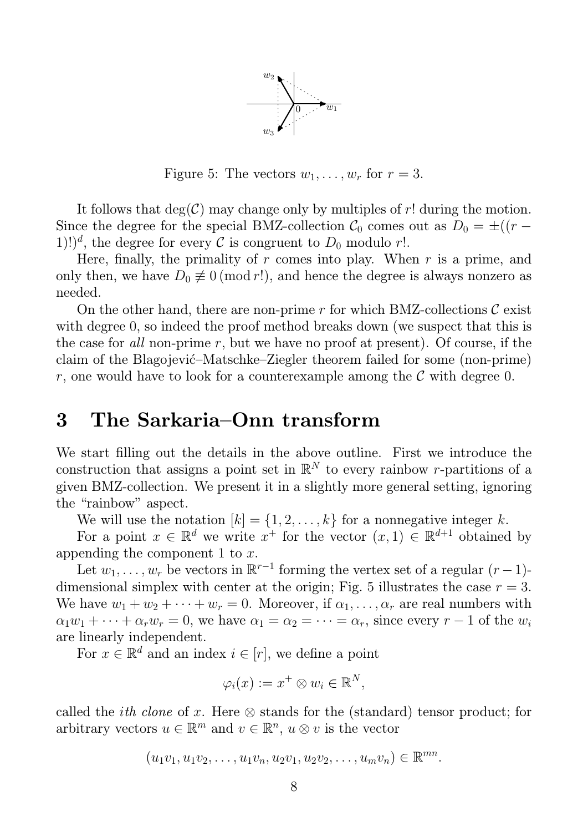

Figure 5: The vectors  $w_1, \ldots, w_r$  for  $r = 3$ .

It follows that  $deg(\mathcal{C})$  may change only by multiples of r! during the motion. Since the degree for the special BMZ-collection  $C_0$  comes out as  $D_0 = \pm((r -$ 1)!)<sup>d</sup>, the degree for every C is congruent to  $D_0$  modulo r!.

Here, finally, the primality of  $r$  comes into play. When  $r$  is a prime, and only then, we have  $D_0 \neq 0 \pmod{r}$ , and hence the degree is always nonzero as needed.

On the other hand, there are non-prime r for which BMZ-collections  $\mathcal C$  exist with degree 0, so indeed the proof method breaks down (we suspect that this is the case for all non-prime r, but we have no proof at present). Of course, if the claim of the Blagojević–Matschke–Ziegler theorem failed for some (non-prime) r, one would have to look for a counterexample among the  $\mathcal C$  with degree 0.

#### 3 The Sarkaria–Onn transform

We start filling out the details in the above outline. First we introduce the construction that assigns a point set in  $\mathbb{R}^N$  to every rainbow r-partitions of a given BMZ-collection. We present it in a slightly more general setting, ignoring the "rainbow" aspect.

We will use the notation  $[k] = \{1, 2, ..., k\}$  for a nonnegative integer k.

For a point  $x \in \mathbb{R}^d$  we write  $x^+$  for the vector  $(x, 1) \in \mathbb{R}^{d+1}$  obtained by appending the component 1 to  $x$ .

Let  $w_1, \ldots, w_r$  be vectors in  $\mathbb{R}^{r-1}$  forming the vertex set of a regular  $(r-1)$ dimensional simplex with center at the origin; Fig. 5 illustrates the case  $r = 3$ . We have  $w_1 + w_2 + \cdots + w_r = 0$ . Moreover, if  $\alpha_1, \ldots, \alpha_r$  are real numbers with  $\alpha_1w_1 + \cdots + \alpha_rw_r = 0$ , we have  $\alpha_1 = \alpha_2 = \cdots = \alpha_r$ , since every  $r-1$  of the  $w_i$ are linearly independent.

For  $x \in \mathbb{R}^d$  and an index  $i \in [r]$ , we define a point

$$
\varphi_i(x) := x^+ \otimes w_i \in \mathbb{R}^N,
$$

called the *ith clone* of x. Here  $\otimes$  stands for the (standard) tensor product; for arbitrary vectors  $u \in \mathbb{R}^m$  and  $v \in \mathbb{R}^n$ ,  $u \otimes v$  is the vector

$$
(u_1v_1, u_1v_2, \ldots, u_1v_n, u_2v_1, u_2v_2, \ldots, u_mv_n) \in \mathbb{R}^{mn}.
$$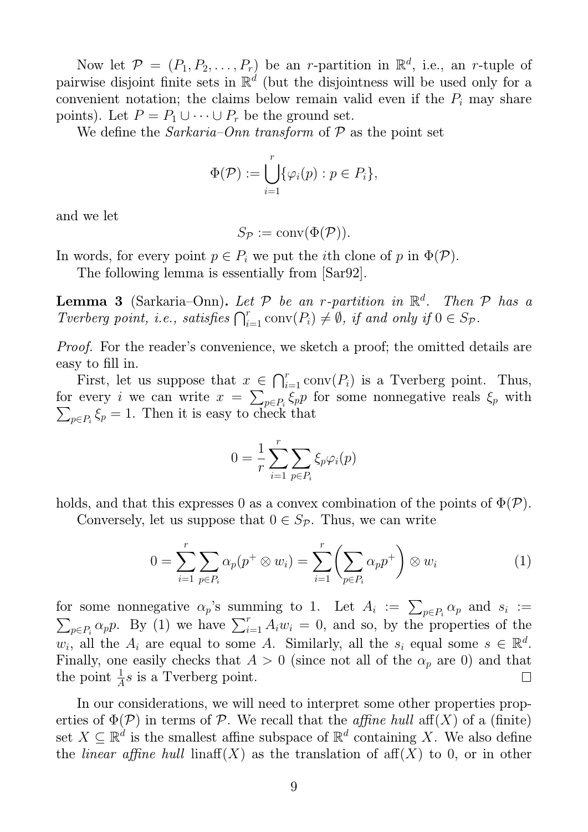Now let  $\mathcal{P} = (P_1, P_2, \ldots, P_r)$  be an *r*-partition in  $\mathbb{R}^d$ , i.e., an *r*-tuple of pairwise disjoint finite sets in  $\mathbb{R}^d$  (but the disjointness will be used only for a convenient notation; the claims below remain valid even if the  $P_i$  may share points). Let  $P = P_1 \cup \cdots \cup P_r$  be the ground set.

We define the *Sarkaria–Onn* transform of  $P$  as the point set

$$
\Phi(\mathcal{P}) := \bigcup_{i=1}^r \{ \varphi_i(p) : p \in P_i \},\
$$

and we let

$$
S_{\mathcal{P}} := \text{conv}(\Phi(\mathcal{P})).
$$

In words, for every point  $p \in P_i$  we put the *i*th clone of p in  $\Phi(\mathcal{P})$ .

The following lemma is essentially from [Sar92].

**Lemma 3** (Sarkaria–Onn). Let  $P$  be an r-partition in  $\mathbb{R}^d$ . Then  $P$  has a Tverberg point, i.e., satisfies  $\bigcap_{i=1}^r \text{conv}(P_i) \neq \emptyset$ , if and only if  $0 \in S_{\mathcal{P}}$ .

Proof. For the reader's convenience, we sketch a proof; the omitted details are easy to fill in.

First, let us suppose that  $x \in \bigcap_{i=1}^r \text{conv}(P_i)$  is a Tverberg point. Thus, for every *i* we can write  $x = \sum_{p \in P_i} \xi_p p$  for some nonnegative reals  $\xi_p$  with  $\sum_{p \in P_i} \xi_p = 1$ . Then it is easy to check that

$$
0 = \frac{1}{r} \sum_{i=1}^{r} \sum_{p \in P_i} \xi_p \varphi_i(p)
$$

holds, and that this expresses 0 as a convex combination of the points of  $\Phi(\mathcal{P})$ .

Conversely, let us suppose that  $0 \in S_{\mathcal{P}}$ . Thus, we can write

$$
0 = \sum_{i=1}^{r} \sum_{p \in P_i} \alpha_p(p^+ \otimes w_i) = \sum_{i=1}^{r} \left( \sum_{p \in P_i} \alpha_p p^+ \right) \otimes w_i \tag{1}
$$

for some nonnegative  $\alpha_p$ 's summing to 1. Let  $A_i := \sum_{p \in P_i} \alpha_p$  and  $s_i := \sum_{p \in P_i} a_p$  $\sum_{p \in P_i} \alpha_p p$ . By (1) we have  $\sum_{i=1}^r A_i w_i = 0$ , and so, by the properties of the  $w_i$ , all the  $A_i$  are equal to some A. Similarly, all the  $s_i$  equal some  $s \in \mathbb{R}^d$ . Finally, one easily checks that  $A > 0$  (since not all of the  $\alpha_p$  are 0) and that the point  $\frac{1}{A}s$  is a Tverberg point.  $\Box$ 

In our considerations, we will need to interpret some other properties properties of  $\Phi(\mathcal{P})$  in terms of P. We recall that the *affine hull* aff(X) of a (finite) set  $X \subseteq \mathbb{R}^d$  is the smallest affine subspace of  $\mathbb{R}^d$  containing X. We also define the *linear affine hull* linaff(X) as the translation of  $\text{aff}(X)$  to 0, or in other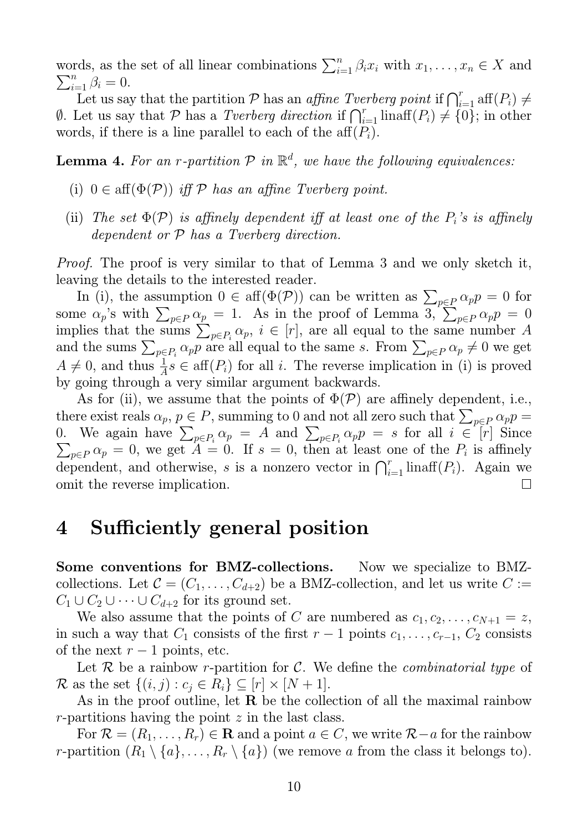words, as the set of all linear combinations  $\sum_{i=1}^{n} \beta_i x_i$  with  $x_1, \ldots, x_n \in X$  and  $\sum_{i=1}^n \beta_i = 0.$ 

Let us say that the partition P has an affine Tverberg point if  $\bigcap_{i=1}^r \text{aff}(P_i) \neq$ 0. Let us say that  $P$  has a *Tverberg direction* if  $\bigcap_{i=1}^r \text{linaff}(P_i) \neq \{0\}$ ; in other words, if there is a line parallel to each of the aff $(P_i)$ .

**Lemma 4.** For an r-partition  $P$  in  $\mathbb{R}^d$ , we have the following equivalences:

- (i)  $0 \in \text{aff}(\Phi(\mathcal{P}))$  iff  $\mathcal P$  has an affine Tverberg point.
- (ii) The set  $\Phi(\mathcal{P})$  is affinely dependent iff at least one of the  $P_i$ 's is affinely dependent or P has a Tverberg direction.

Proof. The proof is very similar to that of Lemma 3 and we only sketch it, leaving the details to the interested reader.

In (i), the assumption  $0 \in \text{aff}(\Phi(\mathcal{P}))$  can be written as  $\sum_{p \in \mathcal{P}} \alpha_p p = 0$  for some  $\alpha_p$ 's with  $\sum_{p \in P} \alpha_p = 1$ . As in the proof of Lemma 3,  $\sum_{p \in P} \alpha_p p = 0$ implies that the sums  $\sum_{p \in P_i} \alpha_p$ ,  $i \in [r]$ , are all equal to the same number A and the sums  $\sum_{p \in P_i} \alpha_p p$  are all equal to the same s. From  $\sum_{p \in P} \alpha_p \neq 0$  we get  $A \neq 0$ , and thus  $\frac{1}{A}s \in \text{aff}(P_i)$  for all i. The reverse implication in (i) is proved by going through a very similar argument backwards.

As for (ii), we assume that the points of  $\Phi(\mathcal{P})$  are affinely dependent, i.e., there exist reals  $\alpha_p, p \in P$ , summing to 0 and not all zero such that  $\sum_{p \in P} \alpha_p p =$ 0. We again have  $\sum_{p \in P_i} \alpha_p = A$  and  $\sum_{p \in P_i} \alpha_p = A$  $\alpha_p p = s$  for all  $i \in [r]$  Since  $\sum$  $p \in P$   $\alpha_p = 0$ , we get  $A = 0$ . If  $s = 0$ , then at least one of the  $P_i$  is affinely dependent, and otherwise, s is a nonzero vector in  $\bigcap_{i=1}^r \text{linaff}(P_i)$ . Again we omit the reverse implication.  $\Box$ 

### 4 Sufficiently general position

Some conventions for BMZ-collections. Now we specialize to BMZcollections. Let  $C = (C_1, \ldots, C_{d+2})$  be a BMZ-collection, and let us write  $C :=$  $C_1 \cup C_2 \cup \cdots \cup C_{d+2}$  for its ground set.

We also assume that the points of C are numbered as  $c_1, c_2, \ldots, c_{N+1} = z$ , in such a way that  $C_1$  consists of the first  $r-1$  points  $c_1, \ldots, c_{r-1}, C_2$  consists of the next  $r-1$  points, etc.

Let  $\mathcal R$  be a rainbow r-partition for  $\mathcal C$ . We define the *combinatorial type* of R as the set  $\{(i, j) : c_j \in R_i\} \subseteq [r] \times [N + 1].$ 

As in the proof outline, let  $\bf{R}$  be the collection of all the maximal rainbow  $r$ -partitions having the point  $z$  in the last class.

For  $\mathcal{R} = (R_1, \ldots, R_r) \in \mathbf{R}$  and a point  $a \in \mathbb{C}$ , we write  $\mathcal{R}-a$  for the rainbow r-partition  $(R_1 \setminus \{a\}, \ldots, R_r \setminus \{a\})$  (we remove a from the class it belongs to).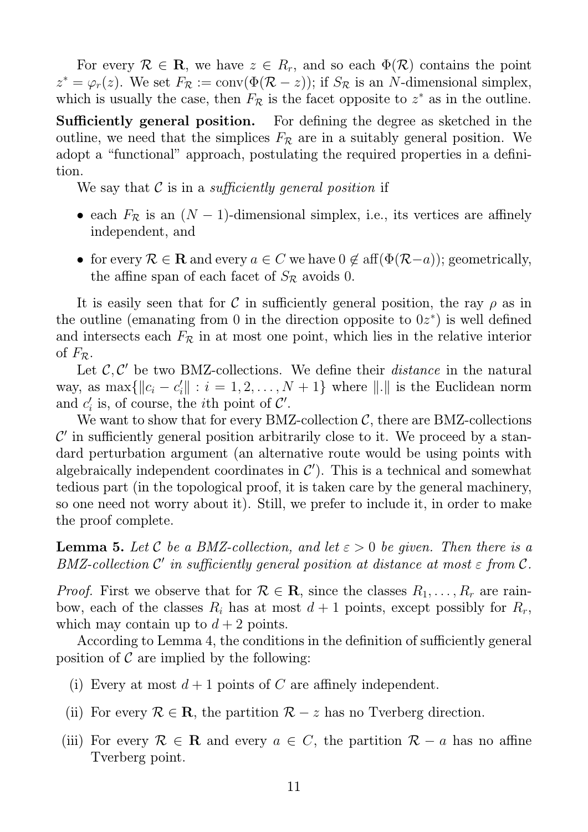For every  $\mathcal{R} \in \mathbf{R}$ , we have  $z \in R_r$ , and so each  $\Phi(\mathcal{R})$  contains the point  $z^* = \varphi_r(z)$ . We set  $F_{\mathcal{R}} := \text{conv}(\Phi(\mathcal{R} - z))$ ; if  $S_{\mathcal{R}}$  is an N-dimensional simplex, which is usually the case, then  $F_{\mathcal{R}}$  is the facet opposite to  $z^*$  as in the outline.

Sufficiently general position. For defining the degree as sketched in the outline, we need that the simplices  $F_{\mathcal{R}}$  are in a suitably general position. We adopt a "functional" approach, postulating the required properties in a definition.

We say that  $\mathcal C$  is in a *sufficiently general position* if

- each  $F_{\mathcal{R}}$  is an  $(N-1)$ -dimensional simplex, i.e., its vertices are affinely independent, and
- for every  $\mathcal{R} \in \mathbf{R}$  and every  $a \in C$  we have  $0 \notin \text{aff}(\Phi(\mathcal{R}-a))$ ; geometrically, the affine span of each facet of  $S_{\mathcal{R}}$  avoids 0.

It is easily seen that for C in sufficiently general position, the ray  $\rho$  as in the outline (emanating from 0 in the direction opposite to  $0z^*$ ) is well defined and intersects each  $F_{\mathcal{R}}$  in at most one point, which lies in the relative interior of  $F_{\mathcal{R}}$ .

Let  $\mathcal{C}, \mathcal{C}'$  be two BMZ-collections. We define their *distance* in the natural way, as  $\max\{\|c_i - c'_i\| : i = 1, 2, ..., N + 1\}$  where  $\|.\|$  is the Euclidean norm and  $c_i'$  is, of course, the *i*<sup>th</sup> point of  $\mathcal{C}'$ .

We want to show that for every BMZ-collection  $C$ , there are BMZ-collections  $\mathcal{C}'$  in sufficiently general position arbitrarily close to it. We proceed by a standard perturbation argument (an alternative route would be using points with algebraically independent coordinates in  $\mathcal{C}'$ ). This is a technical and somewhat tedious part (in the topological proof, it is taken care by the general machinery, so one need not worry about it). Still, we prefer to include it, in order to make the proof complete.

**Lemma 5.** Let C be a BMZ-collection, and let  $\varepsilon > 0$  be given. Then there is a  $BMZ\text{-}collection~\mathcal{C}'$  in sufficiently general position at distance at most  $\varepsilon$  from  $\mathcal{C}.$ 

*Proof.* First we observe that for  $\mathcal{R} \in \mathbf{R}$ , since the classes  $R_1, \ldots, R_r$  are rainbow, each of the classes  $R_i$  has at most  $d+1$  points, except possibly for  $R_r$ , which may contain up to  $d + 2$  points.

According to Lemma 4, the conditions in the definition of sufficiently general position of  $\mathcal C$  are implied by the following:

- (i) Every at most  $d+1$  points of C are affinely independent.
- (ii) For every  $\mathcal{R} \in \mathbb{R}$ , the partition  $\mathcal{R} z$  has no Tverberg direction.
- (iii) For every  $\mathcal{R} \in \mathbf{R}$  and every  $a \in C$ , the partition  $\mathcal{R} a$  has no affine Tverberg point.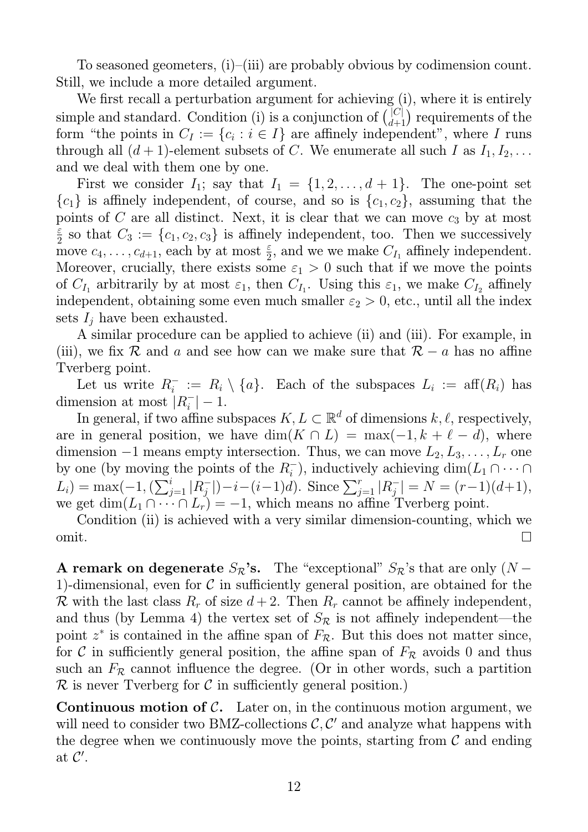To seasoned geometers, (i)–(iii) are probably obvious by codimension count. Still, we include a more detailed argument.

We first recall a perturbation argument for achieving (i), where it is entirely simple and standard. Condition (i) is a conjunction of  $\binom{|C|}{d+1}$  requirements of the form "the points in  $C_I := \{c_i : i \in I\}$  are affinely independent", where I runs through all  $(d+1)$ -element subsets of C. We enumerate all such I as  $I_1, I_2, \ldots$ and we deal with them one by one.

First we consider  $I_1$ ; say that  $I_1 = \{1, 2, ..., d+1\}$ . The one-point set  ${c_1}$  is affinely independent, of course, and so is  ${c_1, c_2}$ , assuming that the points of C are all distinct. Next, it is clear that we can move  $c_3$  by at most ε  $\frac{\varepsilon}{2}$  so that  $C_3 := \{c_1, c_2, c_3\}$  is affinely independent, too. Then we successively move  $c_4, \ldots, c_{d+1}$ , each by at most  $\frac{\varepsilon}{2}$ , and we we make  $C_{I_1}$  affinely independent. Moreover, crucially, there exists some  $\varepsilon_1 > 0$  such that if we move the points of  $C_{I_1}$  arbitrarily by at most  $\varepsilon_1$ , then  $C_{I_1}$ . Using this  $\varepsilon_1$ , we make  $C_{I_2}$  affinely independent, obtaining some even much smaller  $\varepsilon_2 > 0$ , etc., until all the index sets  $I_i$  have been exhausted.

A similar procedure can be applied to achieve (ii) and (iii). For example, in (iii), we fix R and a and see how can we make sure that  $\mathcal{R} - a$  has no affine Tverberg point.

Let us write  $R_i^- := R_i \setminus \{a\}$ . Each of the subspaces  $L_i := aff(R_i)$  has dimension at most  $|R_i^-| - 1$ .

In general, if two affine subspaces  $K, L \subset \mathbb{R}^d$  of dimensions  $k, \ell$ , respectively, are in general position, we have  $\dim(K \cap L) = \max(-1, k + \ell - d)$ , where dimension  $-1$  means empty intersection. Thus, we can move  $L_2, L_3, \ldots, L_r$  one by one (by moving the points of the  $R_i^-$ ), inductively achieving  $\dim(L_1 \cap \cdots \cap$  $L_i$ ) = max(-1,  $(\sum_{j=1}^i |R_j^-|) - i - (i-1)d$ ). Since  $\sum_{j=1}^r |R_j^-| = N = (r-1)(d+1)$ , we get  $\dim(L_1 \cap \cdots \cap L_r) = -1$ , which means no affine Tverberg point.

Condition (ii) is achieved with a very similar dimension-counting, which we  $\Box$ omit.

A remark on degenerate  $S_{\mathcal{R}}$ 's. The "exceptional"  $S_{\mathcal{R}}$ 's that are only (N – 1)-dimensional, even for  $\mathcal C$  in sufficiently general position, are obtained for the R with the last class  $R_r$  of size  $d+2$ . Then  $R_r$  cannot be affinely independent, and thus (by Lemma 4) the vertex set of  $S_{\mathcal{R}}$  is not affinely independent—the point  $z^*$  is contained in the affine span of  $F_{\mathcal{R}}$ . But this does not matter since, for C in sufficiently general position, the affine span of  $F_R$  avoids 0 and thus such an  $F_R$  cannot influence the degree. (Or in other words, such a partition  $\mathcal R$  is never Tverberg for  $\mathcal C$  in sufficiently general position.)

**Continuous motion of C.** Later on, in the continuous motion argument, we will need to consider two BMZ-collections  $\mathcal{C}, \mathcal{C}'$  and analyze what happens with the degree when we continuously move the points, starting from  $\mathcal C$  and ending at  $\mathcal{C}'$ .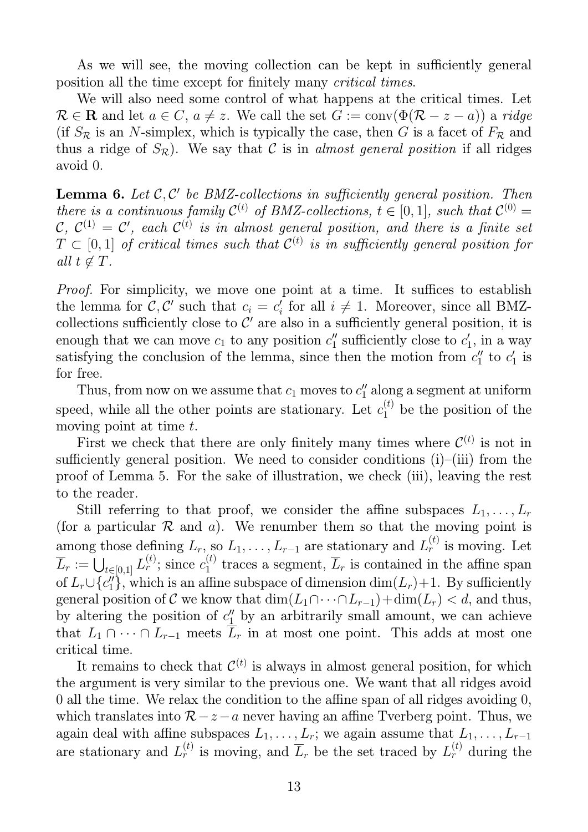As we will see, the moving collection can be kept in sufficiently general position all the time except for finitely many critical times.

We will also need some control of what happens at the critical times. Let  $\mathcal{R} \in \mathbb{R}$  and let  $a \in \mathbb{C}$ ,  $a \neq z$ . We call the set  $G := \text{conv}(\Phi(\mathcal{R} - z - a))$  a ridge (if  $S_{\mathcal{R}}$  is an N-simplex, which is typically the case, then G is a facet of  $F_{\mathcal{R}}$  and thus a ridge of  $S_{\mathcal{R}}$ ). We say that C is in almost general position if all ridges avoid 0.

**Lemma 6.** Let  $\mathcal{C}, \mathcal{C}'$  be BMZ-collections in sufficiently general position. Then there is a continuous family  $\mathcal{C}^{(t)}$  of BMZ-collections,  $t \in [0, 1]$ , such that  $\mathcal{C}^{(0)} =$  $\mathcal{C}, \ \mathcal{C}^{(1)} = \mathcal{C}', \ \textit{each} \ \mathcal{C}^{(t)} \ \textit{is in almost general position, and there is a finite set}$  $T \subset [0,1]$  of critical times such that  $\mathcal{C}^{(t)}$  is in sufficiently general position for all  $t \notin T$ .

Proof. For simplicity, we move one point at a time. It suffices to establish the lemma for C, C' such that  $c_i = c'_i$  for all  $i \neq 1$ . Moreover, since all BMZcollections sufficiently close to  $\mathcal{C}'$  are also in a sufficiently general position, it is enough that we can move  $c_1$  to any position  $c_1''$  sufficiently close to  $c_1'$ , in a way satisfying the conclusion of the lemma, since then the motion from  $c''_1$  to  $c'_1$  is for free.

Thus, from now on we assume that  $c_1$  moves to  $c''_1$  along a segment at uniform speed, while all the other points are stationary. Let  $c_1^{(t)}$  be the position of the moving point at time  $t$ .

First we check that there are only finitely many times where  $\mathcal{C}^{(t)}$  is not in sufficiently general position. We need to consider conditions  $(i)$ – $(iii)$  from the proof of Lemma 5. For the sake of illustration, we check (iii), leaving the rest to the reader.

Still referring to that proof, we consider the affine subspaces  $L_1, \ldots, L_r$ (for a particular  $R$  and  $a$ ). We renumber them so that the moving point is among those defining  $L_r$ , so  $L_1, \ldots, L_{r-1}$  are stationary and  $L_r^{(t)}$  is moving. Let  $\overline{L}_r := \bigcup_{t \in [0,1]} L_r^{(t)}$ ; since  $c_1^{(t)}$  $I_1^{(t)}$  traces a segment,  $L_r$  is contained in the affine span of  $L_r \cup \{c_1''\}$ , which is an affine subspace of dimension  $\dim(L_r)+1$ . By sufficiently general position of C we know that  $\dim(L_1 \cap \cdots \cap L_{r-1}) + \dim(L_r) < d$ , and thus, by altering the position of  $c''_1$  by an arbitrarily small amount, we can achieve that  $L_1 \cap \cdots \cap L_{r-1}$  meets  $\overline{L}_r$  in at most one point. This adds at most one critical time.

It remains to check that  $\mathcal{C}^{(t)}$  is always in almost general position, for which the argument is very similar to the previous one. We want that all ridges avoid 0 all the time. We relax the condition to the affine span of all ridges avoiding 0, which translates into  $\mathcal{R}-z-a$  never having an affine Tverberg point. Thus, we again deal with affine subspaces  $L_1, \ldots, L_r$ ; we again assume that  $L_1, \ldots, L_{r-1}$ are stationary and  $L_r^{(t)}$  is moving, and  $\overline{L}_r$  be the set traced by  $L_r^{(t)}$  during the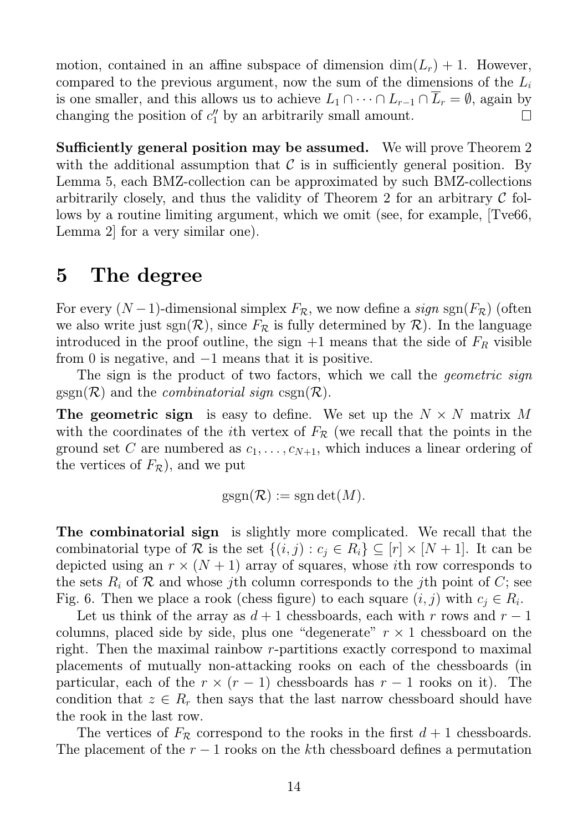motion, contained in an affine subspace of dimension  $\dim(L_r) + 1$ . However, compared to the previous argument, now the sum of the dimensions of the  $L_i$ is one smaller, and this allows us to achieve  $L_1 \cap \cdots \cap L_{r-1} \cap \overline{L}_r = \emptyset$ , again by changing the position of  $c''_1$  by an arbitrarily small amount. changing the position of  $c''_1$  by an arbitrarily small amount.

Sufficiently general position may be assumed. We will prove Theorem 2 with the additional assumption that  $\mathcal C$  is in sufficiently general position. By Lemma 5, each BMZ-collection can be approximated by such BMZ-collections arbitrarily closely, and thus the validity of Theorem 2 for an arbitrary  $\mathcal C$  follows by a routine limiting argument, which we omit (see, for example, [Tve66, Lemma 2] for a very similar one).

# 5 The degree

For every  $(N-1)$ -dimensional simplex  $F_{\mathcal{R}}$ , we now define a sign sgn $(F_{\mathcal{R}})$  (often we also write just sgn( $\mathcal{R}$ ), since  $F_{\mathcal{R}}$  is fully determined by  $\mathcal{R}$ ). In the language introduced in the proof outline, the sign  $+1$  means that the side of  $F_R$  visible from 0 is negative, and −1 means that it is positive.

The sign is the product of two factors, which we call the *geometric sign*  $g\text{sgn}(\mathcal{R})$  and the *combinatorial sign* csgn $(\mathcal{R})$ .

The geometric sign is easy to define. We set up the  $N \times N$  matrix M with the coordinates of the *i*th vertex of  $F_R$  (we recall that the points in the ground set C are numbered as  $c_1, \ldots, c_{N+1}$ , which induces a linear ordering of the vertices of  $F_{\mathcal{R}}$ ), and we put

$$
\mathrm{gsgn}(\mathcal{R}) := \mathrm{sgn}\det(M).
$$

The combinatorial sign is slightly more complicated. We recall that the combinatorial type of R is the set  $\{(i, j) : c_j \in R_i\} \subseteq [r] \times [N + 1]$ . It can be depicted using an  $r \times (N + 1)$  array of squares, whose *i*th row corresponds to the sets  $R_i$  of  $R$  and whose jth column corresponds to the jth point of  $C$ ; see Fig. 6. Then we place a rook (chess figure) to each square  $(i, j)$  with  $c_j \in R_i$ .

Let us think of the array as  $d+1$  chessboards, each with r rows and  $r-1$ columns, placed side by side, plus one "degenerate"  $r \times 1$  chessboard on the right. Then the maximal rainbow r-partitions exactly correspond to maximal placements of mutually non-attacking rooks on each of the chessboards (in particular, each of the  $r \times (r-1)$  chessboards has  $r-1$  rooks on it). The condition that  $z \in R_r$  then says that the last narrow chessboard should have the rook in the last row.

The vertices of  $F_R$  correspond to the rooks in the first  $d+1$  chessboards. The placement of the  $r-1$  rooks on the kth chessboard defines a permutation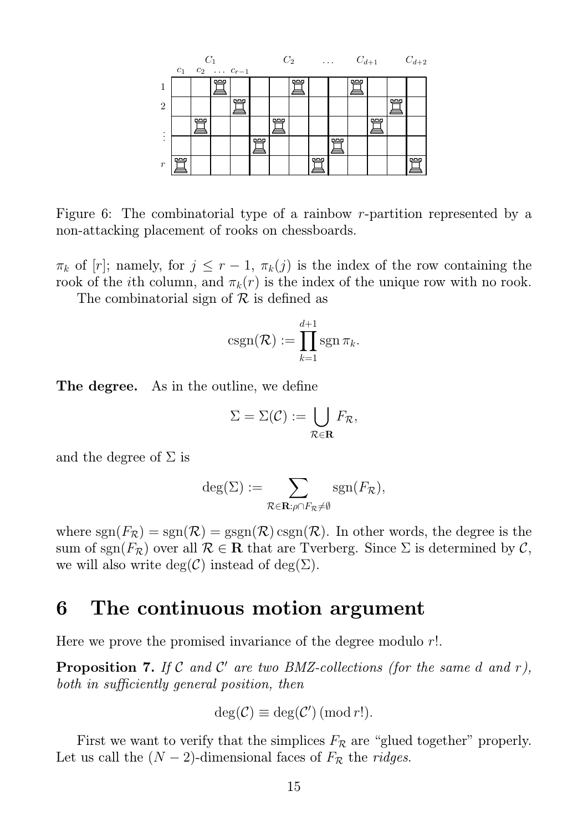

Figure 6: The combinatorial type of a rainbow r-partition represented by a non-attacking placement of rooks on chessboards.

 $\pi_k$  of [r]; namely, for  $j \leq r-1$ ,  $\pi_k(j)$  is the index of the row containing the rook of the *i*th column, and  $\pi_k(r)$  is the index of the unique row with no rook.

The combinatorial sign of  $\mathcal R$  is defined as

$$
\mathrm{csgn}(\mathcal{R}) := \prod_{k=1}^{d+1} \mathrm{sgn} \, \pi_k.
$$

The degree. As in the outline, we define

$$
\Sigma = \Sigma(\mathcal{C}) := \bigcup_{\mathcal{R} \in \mathbf{R}} F_{\mathcal{R}},
$$

and the degree of  $\Sigma$  is

$$
\deg(\Sigma) := \sum_{\mathcal{R} \in \mathbf{R} : \rho \cap F_{\mathcal{R}} \neq \emptyset} \text{sgn}(F_{\mathcal{R}}),
$$

where  $sgn(F_{\mathcal{R}}) = sgn(\mathcal{R}) = gsgn(\mathcal{R}) \c{csgn(\mathcal{R})}$ . In other words, the degree is the sum of sgn( $F_{\mathcal{R}}$ ) over all  $\mathcal{R} \in \mathbf{R}$  that are Tverberg. Since  $\Sigma$  is determined by  $\mathcal{C}$ , we will also write  $deg(\mathcal{C})$  instead of  $deg(\Sigma)$ .

#### 6 The continuous motion argument

Here we prove the promised invariance of the degree modulo r!.

**Proposition 7.** If C and C' are two BMZ-collections (for the same d and r), both in sufficiently general position, then

$$
\deg(\mathcal{C}) \equiv \deg(\mathcal{C}') \, (\text{mod } r!).
$$

First we want to verify that the simplices  $F_R$  are "glued together" properly. Let us call the  $(N-2)$ -dimensional faces of  $F_R$  the ridges.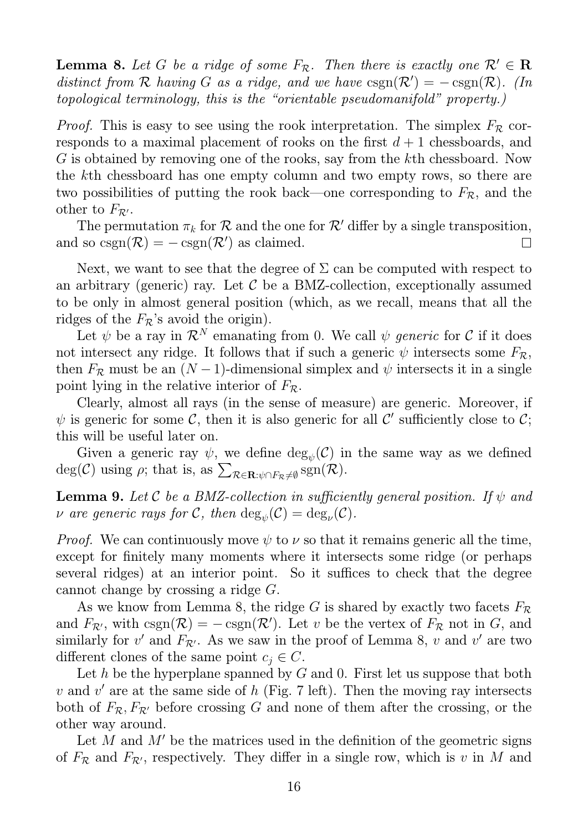**Lemma 8.** Let G be a ridge of some  $F_{\mathcal{R}}$ . Then there is exactly one  $\mathcal{R}' \in \mathbf{R}$ distinct from R having G as a ridge, and we have  $csgn(\mathcal{R}') = -csgn(\mathcal{R})$ . (In topological terminology, this is the "orientable pseudomanifold" property.)

*Proof.* This is easy to see using the rook interpretation. The simplex  $F_R$  corresponds to a maximal placement of rooks on the first  $d+1$  chessboards, and G is obtained by removing one of the rooks, say from the kth chessboard. Now the kth chessboard has one empty column and two empty rows, so there are two possibilities of putting the rook back—one corresponding to  $F_{\mathcal{R}}$ , and the other to  $F_{\mathcal{R}'}$ .

The permutation  $\pi_k$  for  $\mathcal R$  and the one for  $\mathcal R'$  differ by a single transposition,<br>l so  $\csc(n(\mathcal R)) = -\csc(n(\mathcal R'))$  as claimed. and so  $\text{csgn}(\mathcal{R}) = -\text{csgn}(\mathcal{R}')$  as claimed.

Next, we want to see that the degree of  $\Sigma$  can be computed with respect to an arbitrary (generic) ray. Let  $\mathcal C$  be a BMZ-collection, exceptionally assumed to be only in almost general position (which, as we recall, means that all the ridges of the  $F_{\mathcal{R}}$ 's avoid the origin).

Let  $\psi$  be a ray in  $\mathcal{R}^N$  emanating from 0. We call  $\psi$  generic for C if it does not intersect any ridge. It follows that if such a generic  $\psi$  intersects some  $F_{\mathcal{R}}$ , then  $F_{\mathcal{R}}$  must be an  $(N-1)$ -dimensional simplex and  $\psi$  intersects it in a single point lying in the relative interior of  $F_{\mathcal{R}}$ .

Clearly, almost all rays (in the sense of measure) are generic. Moreover, if  $\psi$  is generic for some C, then it is also generic for all C' sufficiently close to C; this will be useful later on.

Given a generic ray  $\psi$ , we define  $\deg_{\psi}(\mathcal{C})$  in the same way as we defined  $deg(\mathcal{C})$  using  $\rho$ ; that is, as  $\sum_{\mathcal{R}\in\mathbf{R}:\psi\cap F_{\mathcal{R}}\neq\emptyset} sgn(\mathcal{R})$ .

**Lemma 9.** Let C be a BMZ-collection in sufficiently general position. If  $\psi$  and  $\nu$  are generic rays for  $\mathcal{C}$ , then  $\mathrm{deg}_\psi(\mathcal{C}) = \mathrm{deg}_\nu(\mathcal{C})$ .

*Proof.* We can continuously move  $\psi$  to  $\nu$  so that it remains generic all the time, except for finitely many moments where it intersects some ridge (or perhaps several ridges) at an interior point. So it suffices to check that the degree cannot change by crossing a ridge G.

As we know from Lemma 8, the ridge G is shared by exactly two facets  $F_{\mathcal{R}}$ and  $F_{\mathcal{R}}$ , with  $\text{csgn}(\mathcal{R}) = -\text{csgn}(\mathcal{R}')$ . Let v be the vertex of  $F_{\mathcal{R}}$  not in  $G$ , and similarly for  $v'$  and  $F_{\mathcal{R}'}$ . As we saw in the proof of Lemma 8, v and v' are two different clones of the same point  $c_i \in C$ .

Let h be the hyperplane spanned by  $G$  and 0. First let us suppose that both v and v' are at the same side of h (Fig. 7 left). Then the moving ray intersects both of  $F_{\mathcal{R}}$ ,  $F_{\mathcal{R}'}$  before crossing G and none of them after the crossing, or the other way around.

Let M and  $M'$  be the matrices used in the definition of the geometric signs of  $F_R$  and  $F_{R}$ , respectively. They differ in a single row, which is v in M and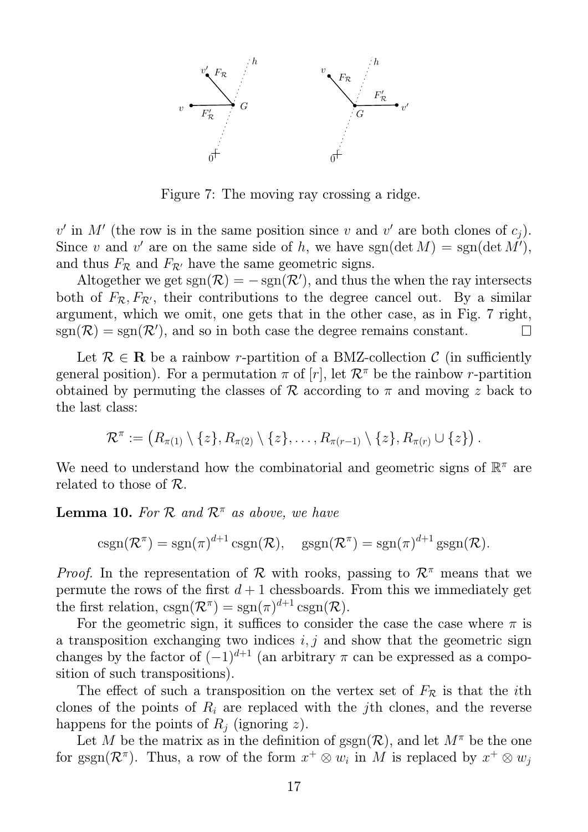

Figure 7: The moving ray crossing a ridge.

 $v'$  in M' (the row is in the same position since v and v' are both clones of  $c_j$ ). Since v and v' are on the same side of h, we have  $sgn(\det M) = sgn(\det M'),$ and thus  $F_{\mathcal{R}}$  and  $F_{\mathcal{R}'}$  have the same geometric signs.

Altogether we get  $sgn(\mathcal{R}) = -sgn(\mathcal{R}')$ , and thus the when the ray intersects both of  $F_{\mathcal{R}}, F_{\mathcal{R}'},$  their contributions to the degree cancel out. By a similar argument, which we omit, one gets that in the other case, as in Fig. 7 right,  $sgn(\mathcal{R}) = sgn(\mathcal{R}')$ , and so in both case the degree remains constant.  $\Box$ 

Let  $\mathcal{R} \in \mathbb{R}$  be a rainbow r-partition of a BMZ-collection  $\mathcal{C}$  (in sufficiently general position). For a permutation  $\pi$  of  $[r]$ , let  $\mathcal{R}^{\pi}$  be the rainbow r-partition obtained by permuting the classes of R according to  $\pi$  and moving z back to the last class:

$$
\mathcal{R}^{\pi} := (R_{\pi(1)} \setminus \{z\}, R_{\pi(2)} \setminus \{z\}, \ldots, R_{\pi(r-1)} \setminus \{z\}, R_{\pi(r)} \cup \{z\}).
$$

We need to understand how the combinatorial and geometric signs of  $\mathbb{R}^{\pi}$  are related to those of R.

**Lemma 10.** For R and  $\mathcal{R}^{\pi}$  as above, we have

$$
\operatorname{csgn}(\mathcal{R}^{\pi}) = \operatorname{sgn}(\pi)^{d+1} \operatorname{csgn}(\mathcal{R}), \quad \operatorname{gsgn}(\mathcal{R}^{\pi}) = \operatorname{sgn}(\pi)^{d+1} \operatorname{gsgn}(\mathcal{R}).
$$

*Proof.* In the representation of R with rooks, passing to  $\mathcal{R}^{\pi}$  means that we permute the rows of the first  $d+1$  chessboards. From this we immediately get the first relation,  $\text{csgn}(\mathcal{R}^{\pi}) = \text{sgn}(\pi)^{d+1} \text{csgn}(\mathcal{R}).$ 

For the geometric sign, it suffices to consider the case the case where  $\pi$  is a transposition exchanging two indices  $i, j$  and show that the geometric sign changes by the factor of  $(-1)^{d+1}$  (an arbitrary  $\pi$  can be expressed as a composition of such transpositions).

The effect of such a transposition on the vertex set of  $F_R$  is that the *i*th clones of the points of  $R_i$  are replaced with the jth clones, and the reverse happens for the points of  $R_i$  (ignoring z).

Let M be the matrix as in the definition of  $\operatorname{sgn}(\mathcal{R})$ , and let  $M^{\pi}$  be the one for  $\text{sgn}(\mathcal{R}^{\pi})$ . Thus, a row of the form  $x^{+} \otimes w_{i}$  in M is replaced by  $x^{+} \otimes w_{j}$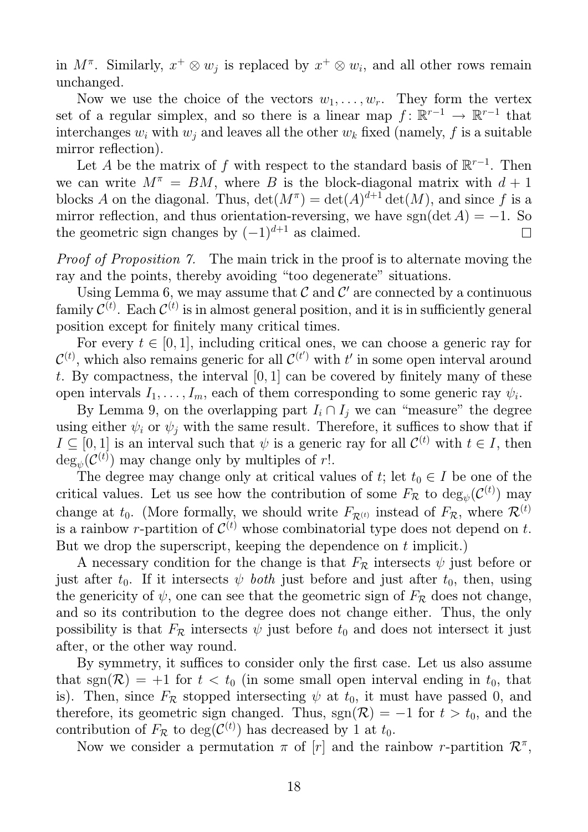in  $M^{\pi}$ . Similarly,  $x^+ \otimes w_j$  is replaced by  $x^+ \otimes w_j$ , and all other rows remain unchanged.

Now we use the choice of the vectors  $w_1, \ldots, w_r$ . They form the vertex set of a regular simplex, and so there is a linear map  $f: \mathbb{R}^{r-1} \to \mathbb{R}^{r-1}$  that interchanges  $w_i$  with  $w_j$  and leaves all the other  $w_k$  fixed (namely, f is a suitable mirror reflection).

Let A be the matrix of f with respect to the standard basis of  $\mathbb{R}^{r-1}$ . Then we can write  $M^{\pi} = BM$ , where B is the block-diagonal matrix with  $d+1$ blocks A on the diagonal. Thus,  $\det(M^{\pi}) = \det(A)^{d+1} \det(M)$ , and since f is a mirror reflection, and thus orientation-reversing, we have sgn(det A) = −1. So the geometric sign changes by  $(-1)^{d+1}$  as claimed. the geometric sign changes by  $(-1)^{d+1}$  as claimed.

Proof of Proposition 7. The main trick in the proof is to alternate moving the ray and the points, thereby avoiding "too degenerate" situations.

Using Lemma 6, we may assume that  $\mathcal C$  and  $\mathcal C'$  are connected by a continuous family  $\mathcal{C}^{(t)}$ . Each  $\mathcal{C}^{(t)}$  is in almost general position, and it is in sufficiently general position except for finitely many critical times.

For every  $t \in [0, 1]$ , including critical ones, we can choose a generic ray for  $\mathcal{C}^{(t)}$ , which also remains generic for all  $\mathcal{C}^{(t)}$  with t' in some open interval around t. By compactness, the interval  $[0, 1]$  can be covered by finitely many of these open intervals  $I_1, \ldots, I_m$ , each of them corresponding to some generic ray  $\psi_i$ .

By Lemma 9, on the overlapping part  $I_i \cap I_j$  we can "measure" the degree using either  $\psi_i$  or  $\psi_j$  with the same result. Therefore, it suffices to show that if  $I \subseteq [0,1]$  is an interval such that  $\psi$  is a generic ray for all  $\mathcal{C}^{(t)}$  with  $t \in I$ , then  $deg_{\psi}(\mathcal{C}^{(t)})$  may change only by multiples of r!.

The degree may change only at critical values of t; let  $t_0 \in I$  be one of the critical values. Let us see how the contribution of some  $F_{\mathcal{R}}$  to  $\text{deg}_{\psi}(\mathcal{C}^{(t)})$  may change at  $t_0$ . (More formally, we should write  $F_{\mathcal{R}^{(t)}}$  instead of  $F_{\mathcal{R}}$ , where  $\mathcal{R}^{(t)}$ is a rainbow r-partition of  $\mathcal{C}^{(t)}$  whose combinatorial type does not depend on t. But we drop the superscript, keeping the dependence on t implicit.)

A necessary condition for the change is that  $F_R$  intersects  $\psi$  just before or just after  $t_0$ . If it intersects  $\psi$  both just before and just after  $t_0$ , then, using the genericity of  $\psi$ , one can see that the geometric sign of  $F_R$  does not change, and so its contribution to the degree does not change either. Thus, the only possibility is that  $F_{\mathcal{R}}$  intersects  $\psi$  just before  $t_0$  and does not intersect it just after, or the other way round.

By symmetry, it suffices to consider only the first case. Let us also assume that sgn( $\mathcal{R}$ ) = +1 for  $t < t_0$  (in some small open interval ending in  $t_0$ , that is). Then, since  $F_R$  stopped intersecting  $\psi$  at  $t_0$ , it must have passed 0, and therefore, its geometric sign changed. Thus, sgn( $\mathcal{R}$ ) = −1 for  $t > t_0$ , and the contribution of  $F_{\mathcal{R}}$  to  $deg(\mathcal{C}^{(t)})$  has decreased by 1 at  $t_0$ .

Now we consider a permutation  $\pi$  of  $[r]$  and the rainbow r-partition  $\mathcal{R}^{\pi}$ ,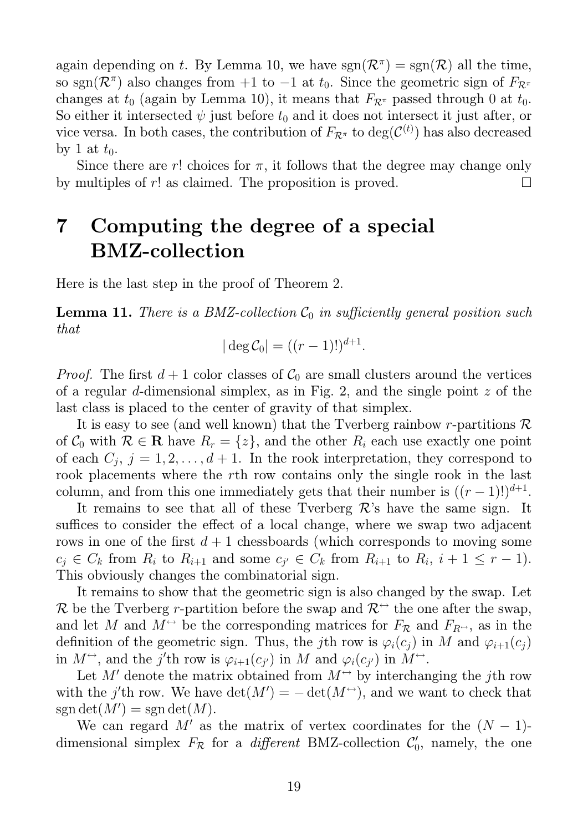again depending on t. By Lemma 10, we have  $sgn(\mathcal{R}^{\pi}) = sgn(\mathcal{R})$  all the time, so sgn( $\mathcal{R}^{\pi}$ ) also changes from +1 to -1 at  $t_0$ . Since the geometric sign of  $F_{\mathcal{R}^{\pi}}$ changes at  $t_0$  (again by Lemma 10), it means that  $F_{\mathcal{R}^{\pi}}$  passed through 0 at  $t_0$ . So either it intersected  $\psi$  just before  $t_0$  and it does not intersect it just after, or vice versa. In both cases, the contribution of  $F_{\mathcal{R}^{\pi}}$  to  $\text{deg}(\mathcal{C}^{(t)})$  has also decreased by 1 at  $t_0$ .

Since there are r! choices for  $\pi$ , it follows that the degree may change only by multiples of r! as claimed. The proposition is proved. П

# 7 Computing the degree of a special BMZ-collection

Here is the last step in the proof of Theorem 2.

**Lemma 11.** There is a BMZ-collection  $\mathcal{C}_0$  in sufficiently general position such that

 $|\deg \mathcal{C}_0| = ((r-1)!)^{d+1}.$ 

*Proof.* The first  $d + 1$  color classes of  $C_0$  are small clusters around the vertices of a regular d-dimensional simplex, as in Fig. 2, and the single point  $z$  of the last class is placed to the center of gravity of that simplex.

It is easy to see (and well known) that the Tverberg rainbow r-partitions  $\mathcal R$ of  $C_0$  with  $\mathcal{R} \in \mathbb{R}$  have  $R_r = \{z\}$ , and the other  $R_i$  each use exactly one point of each  $C_j$ ,  $j = 1, 2, \ldots, d + 1$ . In the rook interpretation, they correspond to rook placements where the rth row contains only the single rook in the last column, and from this one immediately gets that their number is  $((r-1)!)^{d+1}$ .

It remains to see that all of these Tverberg  $\mathcal{R}$ 's have the same sign. It suffices to consider the effect of a local change, where we swap two adjacent rows in one of the first  $d+1$  chessboards (which corresponds to moving some  $c_j \in C_k$  from  $R_i$  to  $R_{i+1}$  and some  $c_{j'} \in C_k$  from  $R_{i+1}$  to  $R_i$ ,  $i+1 \leq r-1$ ). This obviously changes the combinatorial sign.

It remains to show that the geometric sign is also changed by the swap. Let R be the Tverberg r-partition before the swap and  $\mathcal{R}^{\leftrightarrow}$  the one after the swap, and let M and  $M^{\leftrightarrow}$  be the corresponding matrices for  $F_{\mathcal{R}}$  and  $F_{R^{\leftrightarrow}}$ , as in the definition of the geometric sign. Thus, the jth row is  $\varphi_i(c_i)$  in M and  $\varphi_{i+1}(c_i)$ in  $M^{\leftrightarrow}$ , and the j'th row is  $\varphi_{i+1}(c_{j'})$  in M and  $\varphi_i(c_{j'})$  in  $M^{\leftrightarrow}$ .

Let M' denote the matrix obtained from  $M \rightarrow$  by interchanging the jth row with the j'th row. We have  $\det(M') = -\det(M^{\leftrightarrow})$ , and we want to check that  $sgn det(M') = sgn det(M).$ 

We can regard M' as the matrix of vertex coordinates for the  $(N - 1)$ dimensional simplex  $F_{\mathcal{R}}$  for a *different* BMZ-collection  $\mathcal{C}'_0$ , namely, the one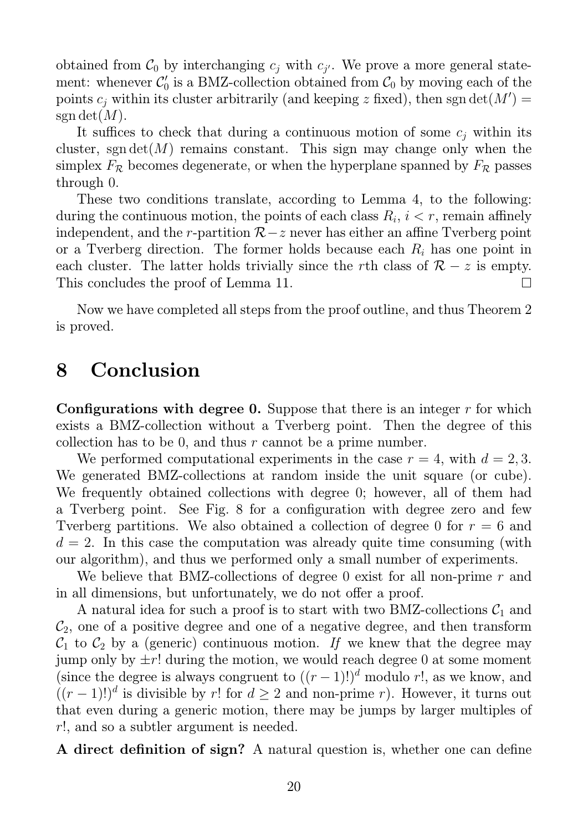obtained from  $C_0$  by interchanging  $c_j$  with  $c_{j'}$ . We prove a more general statement: whenever  $C'_0$  is a BMZ-collection obtained from  $C_0$  by moving each of the points  $c_j$  within its cluster arbitrarily (and keeping  $z$  fixed), then sgn  $\det(M') =$ sgn det $(M)$ .

It suffices to check that during a continuous motion of some  $c_i$  within its cluster, sgn det(M) remains constant. This sign may change only when the simplex  $F_R$  becomes degenerate, or when the hyperplane spanned by  $F_R$  passes through 0.

These two conditions translate, according to Lemma 4, to the following: during the continuous motion, the points of each class  $R_i$ ,  $i < r$ , remain affinely independent, and the r-partition  $\mathcal{R}-z$  never has either an affine Tverberg point or a Tverberg direction. The former holds because each  $R_i$  has one point in each cluster. The latter holds trivially since the rth class of  $\mathcal{R} - z$  is empty.<br>This concludes the proof of Lemma 11. This concludes the proof of Lemma 11.

Now we have completed all steps from the proof outline, and thus Theorem 2 is proved.

#### 8 Conclusion

**Configurations with degree 0.** Suppose that there is an integer  $r$  for which exists a BMZ-collection without a Tverberg point. Then the degree of this collection has to be 0, and thus  $r$  cannot be a prime number.

We performed computational experiments in the case  $r = 4$ , with  $d = 2, 3$ . We generated BMZ-collections at random inside the unit square (or cube). We frequently obtained collections with degree 0; however, all of them had a Tverberg point. See Fig. 8 for a configuration with degree zero and few Tverberg partitions. We also obtained a collection of degree 0 for  $r = 6$  and  $d = 2$ . In this case the computation was already quite time consuming (with our algorithm), and thus we performed only a small number of experiments.

We believe that BMZ-collections of degree 0 exist for all non-prime r and in all dimensions, but unfortunately, we do not offer a proof.

A natural idea for such a proof is to start with two BMZ-collections  $C_1$  and  $\mathcal{C}_2$ , one of a positive degree and one of a negative degree, and then transform  $C_1$  to  $C_2$  by a (generic) continuous motion. If we knew that the degree may jump only by  $\pm r!$  during the motion, we would reach degree 0 at some moment (since the degree is always congruent to  $((r-1)!)^d$  modulo r!, as we know, and  $((r-1)!)^d$  is divisible by r! for  $d \geq 2$  and non-prime r). However, it turns out that even during a generic motion, there may be jumps by larger multiples of r!, and so a subtler argument is needed.

A direct definition of sign? A natural question is, whether one can define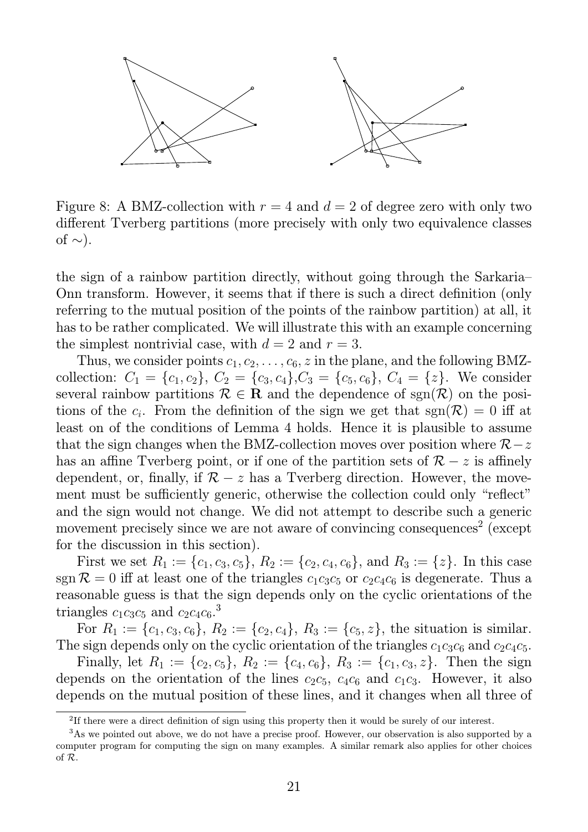

Figure 8: A BMZ-collection with  $r = 4$  and  $d = 2$  of degree zero with only two different Tverberg partitions (more precisely with only two equivalence classes of  $\sim$ ).

the sign of a rainbow partition directly, without going through the Sarkaria– Onn transform. However, it seems that if there is such a direct definition (only referring to the mutual position of the points of the rainbow partition) at all, it has to be rather complicated. We will illustrate this with an example concerning the simplest nontrivial case, with  $d = 2$  and  $r = 3$ .

Thus, we consider points  $c_1, c_2, \ldots, c_6, z$  in the plane, and the following BMZcollection:  $C_1 = \{c_1, c_2\}, C_2 = \{c_3, c_4\}, C_3 = \{c_5, c_6\}, C_4 = \{z\}.$  We consider several rainbow partitions  $\mathcal{R} \in \mathbf{R}$  and the dependence of sgn $(\mathcal{R})$  on the positions of the  $c_i$ . From the definition of the sign we get that  $sgn(\mathcal{R}) = 0$  iff at least on of the conditions of Lemma 4 holds. Hence it is plausible to assume that the sign changes when the BMZ-collection moves over position where  $\mathcal{R}-z$ has an affine Tverberg point, or if one of the partition sets of  $\mathcal{R} - z$  is affinely dependent, or, finally, if  $\mathcal{R} - z$  has a Tverberg direction. However, the movement must be sufficiently generic, otherwise the collection could only "reflect" and the sign would not change. We did not attempt to describe such a generic movement precisely since we are not aware of convincing consequences<sup>2</sup> (except for the discussion in this section).

First we set  $R_1 := \{c_1, c_3, c_5\}, R_2 := \{c_2, c_4, c_6\}, \text{ and } R_3 := \{z\}.$  In this case sgn  $\mathcal{R} = 0$  iff at least one of the triangles  $c_1c_3c_5$  or  $c_2c_4c_6$  is degenerate. Thus a reasonable guess is that the sign depends only on the cyclic orientations of the triangles  $c_1c_3c_5$  and  $c_2c_4c_6$ <sup>3</sup>

For  $R_1 := \{c_1, c_3, c_6\}, R_2 := \{c_2, c_4\}, R_3 := \{c_5, z\},$  the situation is similar. The sign depends only on the cyclic orientation of the triangles  $c_1c_3c_6$  and  $c_2c_4c_5$ .

Finally, let  $R_1 := \{c_2, c_5\}$ ,  $R_2 := \{c_4, c_6\}$ ,  $R_3 := \{c_1, c_3, z\}$ . Then the sign depends on the orientation of the lines  $c_2c_5$ ,  $c_4c_6$  and  $c_1c_3$ . However, it also depends on the mutual position of these lines, and it changes when all three of

<sup>&</sup>lt;sup>2</sup>If there were a direct definition of sign using this property then it would be surely of our interest.

<sup>&</sup>lt;sup>3</sup>As we pointed out above, we do not have a precise proof. However, our observation is also supported by a computer program for computing the sign on many examples. A similar remark also applies for other choices of R.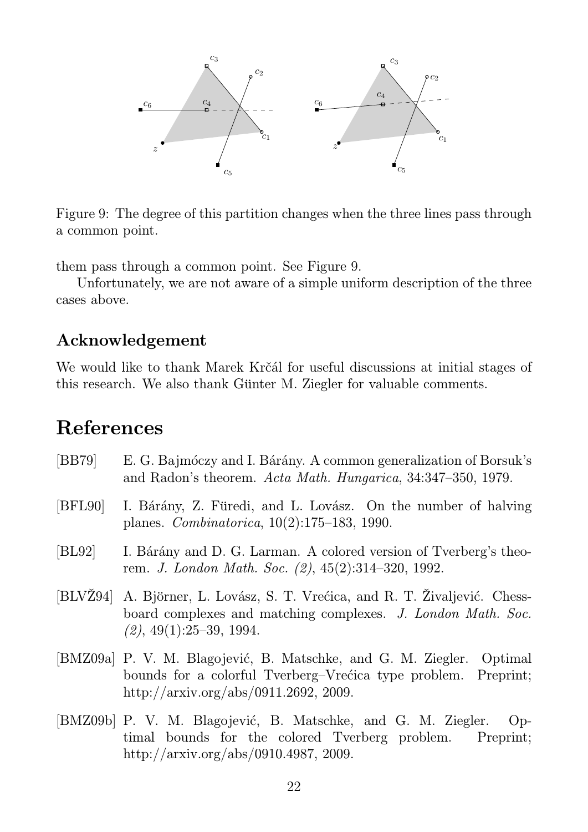

Figure 9: The degree of this partition changes when the three lines pass through a common point.

them pass through a common point. See Figure 9.

Unfortunately, we are not aware of a simple uniform description of the three cases above.

#### Acknowledgement

We would like to thank Marek Krčál for useful discussions at initial stages of this research. We also thank Günter M. Ziegler for valuable comments.

# References

| [BB79]  | E. G. Bajmóczy and I. Bárány. A common generalization of Borsuk's<br>and Radon's theorem. Acta Math. Hungarica, 34:347-350, 1979.                                                |
|---------|----------------------------------------------------------------------------------------------------------------------------------------------------------------------------------|
| [BFL90] | I. Bárány, Z. Füredi, and L. Lovász. On the number of halving<br>planes. <i>Combinatorica</i> , $10(2):175-183$ , 1990.                                                          |
| [BL92]  | I. Bárány and D. G. Larman. A colored version of Tverberg's theo-<br>rem. J. London Math. Soc. (2), 45(2):314-320, 1992.                                                         |
|         | [BLVŽ94] A. Björner, L. Lovász, S. T. Vrećica, and R. T. Živaljević. Chess-<br>board complexes and matching complexes. J. London Math. Soc.<br>$(2), 49(1):25-39, 1994.$         |
|         | [BMZ09a] P. V. M. Blagojević, B. Matschke, and G. M. Ziegler. Optimal<br>bounds for a colorful Tverberg–Vrećica type problem. Preprint;<br>http://arxiv.org/abs/0911.2692, 2009. |
|         | [BMZ09b] P. V. M. Blagojević, B. Matschke, and G. M. Ziegler. Op-<br>timal bounds for the colored Tverberg problem. Preprint;                                                    |

http://arxiv.org/abs/0910.4987, 2009.